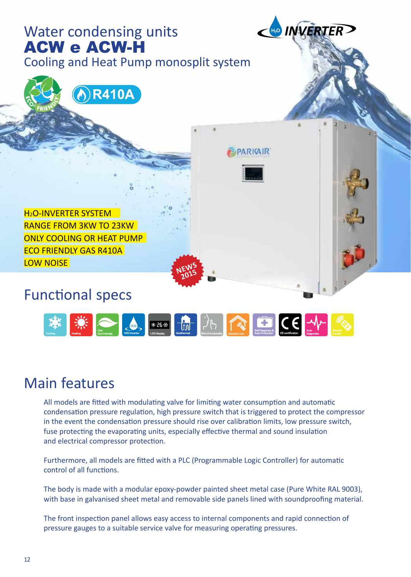

#### Main features

All models are fitted with modulating valve for limiting water consumption and automatic condensation pressure regulation, high pressure switch that is triggered to protect the compressor in the event the condensation pressure should rise over calibration limits, low pressure switch, fuse protecting the evaporating units, especially effective thermal and sound insulation and electrical compressor protection.

Furthermore, all models are fitted with a PLC (Programmable Logic Controller) for automatic control of all functions.

The body is made with a modular epoxy-powder painted sheet metal case (Pure White RAL 9003), with base in galvanised sheet metal and removable side panels lined with soundproofing material.

The front inspection panel allows easy access to internal components and rapid connection of pressure gauges to a suitable service valve for measuring operating pressures.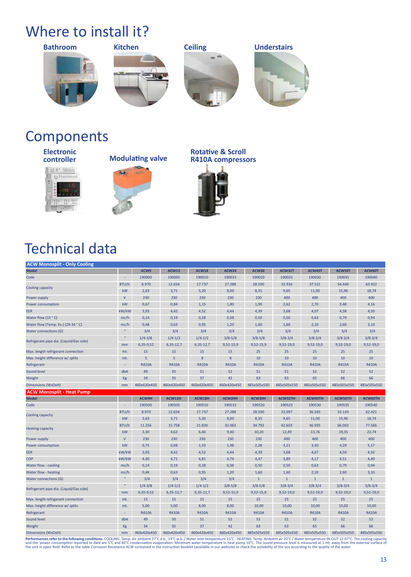# Where to install it?









#### **Components**

**Electronic** 





 $\overline{\mathbf{a}}$ 

#### **Rotative & Scroll R410A compressors**



## Technical data

| <b>ACW Monosplit - Only Cooling</b>     |                    |              |              |              |              |              |              |              |                |              |
|-----------------------------------------|--------------------|--------------|--------------|--------------|--------------|--------------|--------------|--------------|----------------|--------------|
| <b>Model</b>                            |                    | ACW9         | <b>ACW12</b> | <b>ACW18</b> | <b>ACW24</b> | <b>ACW30</b> | ACW32T       | ACW40T       | ACW50T         | ACW60T       |
| Code                                    | ÷                  | 190000       | 190005       | 190010       | 190015       | 190020       | 190025       | 190030       | 190035         | 190040       |
|                                         | BTU/h              | 8.970        | 12.654       | 17.737       | 27.288       | 28.500       | 32.916       | 37.521       | 54.440         | 63.922       |
| Cooling capacity                        | kW                 | 2,63         | 3,71         | 5,20         | 8,00         | 8,35         | 9,65         | 11,00        | 15,96          | 18,74        |
| Power supply                            | $\mathsf{V}$       | 230          | 230          | 230          | 230          | 230          | 400          | 400          | 400            | 400          |
| Power consumption                       | kW                 | 0,67         | 0,84         | 1,15         | 1,80         | 1,90         | 2,62         | 2,70         | 3,48           | 4,16         |
| EER                                     | kW/kW              | 3,93         | 4,42         | 4,52         | 4,44         | 4,39         | 3,68         | 4,07         | 4,58           | 4,50         |
| Water flow (15 °C)                      | mc/h               | 0,14         | 0,19         | 0,28         | 0,38         | 0,50         | 0,50         | 0,63         | 0,79           | 0,94         |
| Water flow (Temp. Ev.) (29-34 °C)       | mc/h               | 0,48         | 0,63         | 0,95         | 1,20         | 1,60         | 1,60         | 2,10         | 2,60           | 3,10         |
| <b>Water connections (G)</b>            | $\mathbf{u}_\perp$ | 3/4          | 3/4          | 3/4          | 3/4          | 3/4          | 3/4          | 3/4          | 3/4            | 3/4          |
| Refrigerant pipe dia. (Liquid/Gas side) | $\mathbf{u}$       | $1/4 - 3/8$  | $1/4 - 1/2$  | $1/4 - 1/2$  | $3/8 - 5/8$  | $3/8 - 5/8$  | $3/8 - 3/4$  | $3/8 - 3/4$  | $3/8 - 3/4$    | $3/8 - 3/4$  |
|                                         | mm                 | 6,35-9,52    | $6,35-12,7$  | $6,35-12,7$  | 9,52-15,9    | 9,52-15,9    | 9,52-19,0    | 9,52-19,0    | 9,52-19,0      | $9,52-19,0$  |
| Max. length refrigerant connection      | mt.                | 15           | 15           | 15           | 15           | 25           | 25           | 25           | 25             | 25           |
| Max. height difference w/ splits        | mt.                | 5            | 5            | 8            | $\bf 8$      | 10           | 10           | 10           | 10             | 10           |
| Refrigerant                             | $\sim$             | <b>R410A</b> | <b>R410A</b> | <b>R410A</b> | <b>R410A</b> | <b>R410A</b> | <b>R410A</b> | <b>R410A</b> | <b>R410A</b>   | <b>R410A</b> |
| Sound level                             | dbA                | 49           | 50           | 51           | 52           | 51           | 51           | 52           | 52             | 52           |
| Weight                                  | Kg                 | 34           | 35           | 37           | 42           | 63           | 63           | 65           | 66             | 66           |
| <b>Dimensions (WxDxH)</b>               | mm                 | 460x420x450  | 460x420x450  | 460x420x450  | 460x420x450  | 485x505x550  | 485x505x550  | 485x505x550  | 485x505x550    | 485x505x550  |
| <b>ACW Monosplit - Heat Pump</b>        |                    |              |              |              |              |              |              |              |                |              |
| <b>Model</b>                            |                    | ACW9H        | ACW12H       | ACW18H       | ACW24H       | ACW30H       | ACW32TH      | ACW40TH      | <b>ACW50TH</b> | ACW60TH      |
|                                         |                    |              |              |              |              |              |              |              |                |              |
| Code                                    | ÷                  | 190500       | 190505       | 190510       | 190515       | 190520       | 190525       | 190530       | 190535         | 190540       |
|                                         | BTU/h              | 8.970        | 12.654       | 17.737       | 27.288       | 28.500       | 32.097       | 36.565       | 53.143         | 62.421       |
| Cooling capacity                        | kW                 | 2,63         | 3,71         | 5,20         | 8,00         | 8,35         | 9,65         | 11,00        | 15,96          | 18,74        |
|                                         | BTU/h              | 11.256       | 15.758       | 21.830       | 32.063       | 34.792       | 42.603       | 46.935       | 66.002         | 77.566       |
| <b>Heating capacity</b>                 | kW                 | 3,30         | 4,62         | 6,40         | 9,40         | 10,20        | 12,49        | 13,76        | 19,35          | 22,74        |
| Power supply                            | $\mathsf{V}$       | 230          | 230          | 230          | 230          | 230          | 400          | 400          | 400            | 400          |
| Power consumption                       | kW                 | 0,75         | 0,98         | 1,33         | 1,98         | 2,28         | 3,21         | 3,30         | 4,29           | 5,17         |
| EER                                     | kW/kW              | 3,93         | 4,42         | 4,52         | 4,44         | 4,39         | 3,68         | 4,07         | 4,59           | 4,50         |
| COP                                     | kW/kW              | 4,40         | 4,71         | 4,81         | 4,74         | 4,47         | 3,89         | 4,17         | 4,51           | 4,40         |
| Water flow - cooling                    | mc/h               | 0,14         | 0,19         | 0,28         | 0,38         | 0,50         | 0,50         | 0,63         | 0,79           | 0,94         |
| Water flow - heating                    | mc/h               | 0,48         | 0,63         | 0,95         | 1,20         | 1,60         | 1,60         | 2,10         | 2,60           | 3,10         |
| <b>Water connections (G)</b>            |                    | 3/4          | 3/4          | 3/4          | 3/4          | $\mathbf{1}$ | $\mathbf{1}$ | $\mathbf{1}$ | $\mathbf{1}$   | $\mathbf{1}$ |
|                                         | $\mathbf{u}$       | $1/4 - 3/8$  | $1/4 - 1/2$  | $1/4 - 1/2$  | $3/8 - 5/8$  | $3/8 - 5/8$  | $3/8 - 3/4$  | $3/8 - 3/4$  | $3/8 - 3/4$    | $3/8 - 3/4$  |
| Refrigerant pipe dia. (Liquid/Gas side) | mm                 | 6,35-9,52    | $6,35-12,7$  | $6,35-12,7$  | $9,52-15,9$  | 9,52-15,9    | $9,52-19,0$  | $9,52-19,0$  | $9,52-19,0$    | $9,52-19,0$  |
| Max. length refrigerant connection      | mt.                | 15           | 15           | 15           | 15           | 25           | 25           | 25           | 25             | 25           |
| Max. height difference w/ splits        | mt.                | 5,00         | 5,00         | 8,00         | 8,00         | 10,00        | 10,00        | 10,00        | 10,00          | 10,00        |
| Refrigerant                             | $\sim$             | <b>R410A</b> | <b>R410A</b> | <b>R410A</b> | <b>R410A</b> | <b>R410A</b> | <b>R410A</b> | <b>R410A</b> | <b>R410A</b>   | <b>R410A</b> |
| <b>Sound level</b>                      | dbA                | 49           | 50           | 51           | 52           | 51           | 51           | 52           | 52             | 52           |
| Weight                                  | Kg                 | 34           | 35           | 37           | 42           | 63           | 63           | 65           | 66             | 66           |

**Performances refer to the following conditions.** COOLING: Temp. Air ambient 27°C d.b., 19°C w.b. / Water inlet temperature 15°C - HEATING: Temp. Ambient air 20°C / Water temperature IN-OUT 12-07°C. The cooling capacity<br>a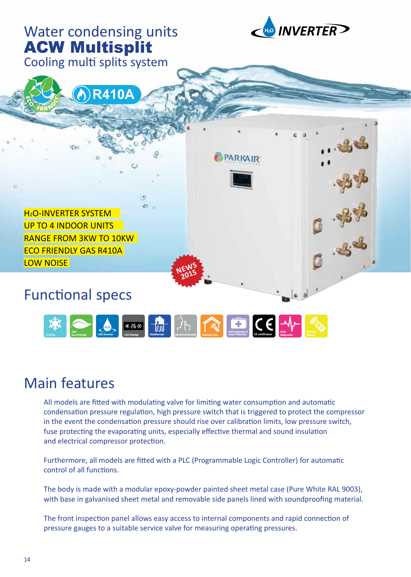

#### Main features

All models are fitted with modulating valve for limiting water consumption and automatic condensation pressure regulation, high pressure switch that is triggered to protect the compressor in the event the condensation pressure should rise over calibration limits, low pressure switch, fuse protecting the evaporating units, especially effective thermal and sound insulation and electrical compressor protection.

Furthermore, all models are fitted with a PLC (Programmable Logic Controller) for automatic control of all functions.

The body is made with a modular epoxy-powder painted sheet metal case (Pure White RAL 9003), with base in galvanised sheet metal and removable side panels lined with soundproofing material.

The front inspection panel allows easy access to internal components and rapid connection of pressure gauges to a suitable service valve for measuring operating pressures.